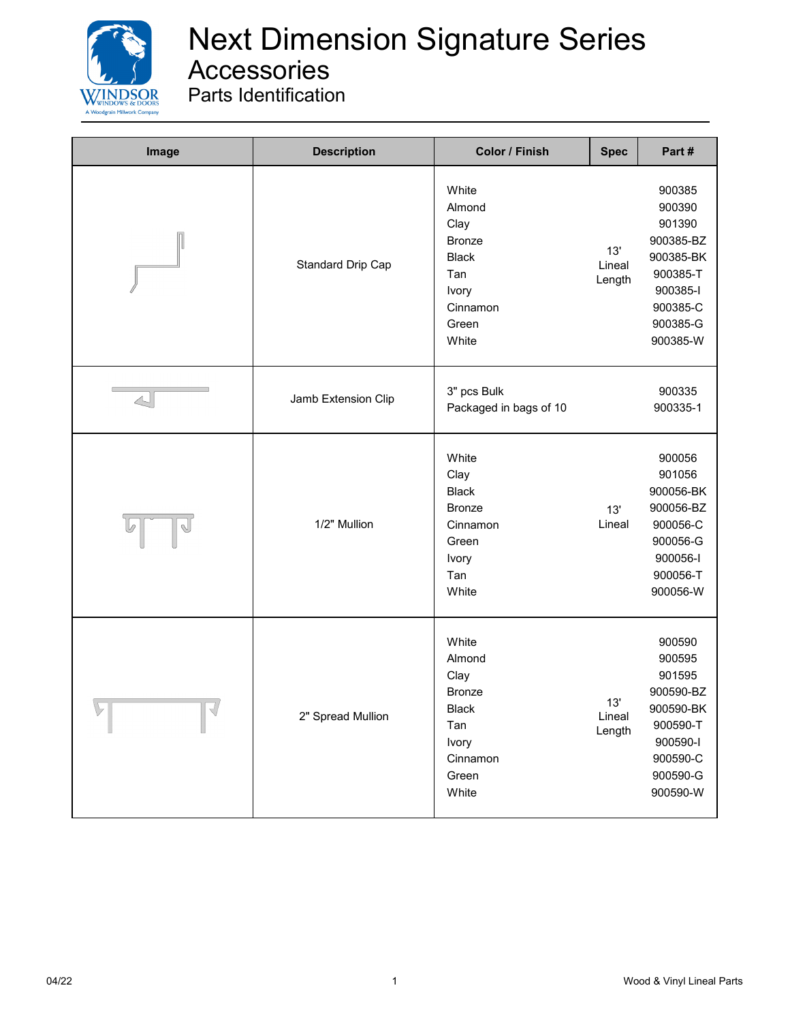

| Image                   | <b>Description</b>  | Color / Finish                                                                                         | <b>Spec</b>             | Part #                                                                                                           |
|-------------------------|---------------------|--------------------------------------------------------------------------------------------------------|-------------------------|------------------------------------------------------------------------------------------------------------------|
|                         | Standard Drip Cap   | White<br>Almond<br>Clay<br><b>Bronze</b><br><b>Black</b><br>Tan<br>Ivory<br>Cinnamon<br>Green<br>White | 13'<br>Lineal<br>Length | 900385<br>900390<br>901390<br>900385-BZ<br>900385-BK<br>900385-T<br>900385-I<br>900385-C<br>900385-G<br>900385-W |
| $\triangle$             | Jamb Extension Clip | 3" pcs Bulk<br>Packaged in bags of 10                                                                  |                         | 900335<br>900335-1                                                                                               |
|                         | 1/2" Mullion        | White<br>Clay<br><b>Black</b><br><b>Bronze</b><br>Cinnamon<br>Green<br>Ivory<br>Tan<br>White           | 13'<br>Lineal           | 900056<br>901056<br>900056-BK<br>900056-BZ<br>900056-C<br>900056-G<br>900056-I<br>900056-T<br>900056-W           |
| $\bigtriangledown$<br>V | 2" Spread Mullion   | White<br>Almond<br>Clay<br>Bronze<br><b>Black</b><br>Tan<br>Ivory<br>Cinnamon<br>Green<br>White        | 13'<br>Lineal<br>Length | 900590<br>900595<br>901595<br>900590-BZ<br>900590-BK<br>900590-T<br>900590-l<br>900590-C<br>900590-G<br>900590-W |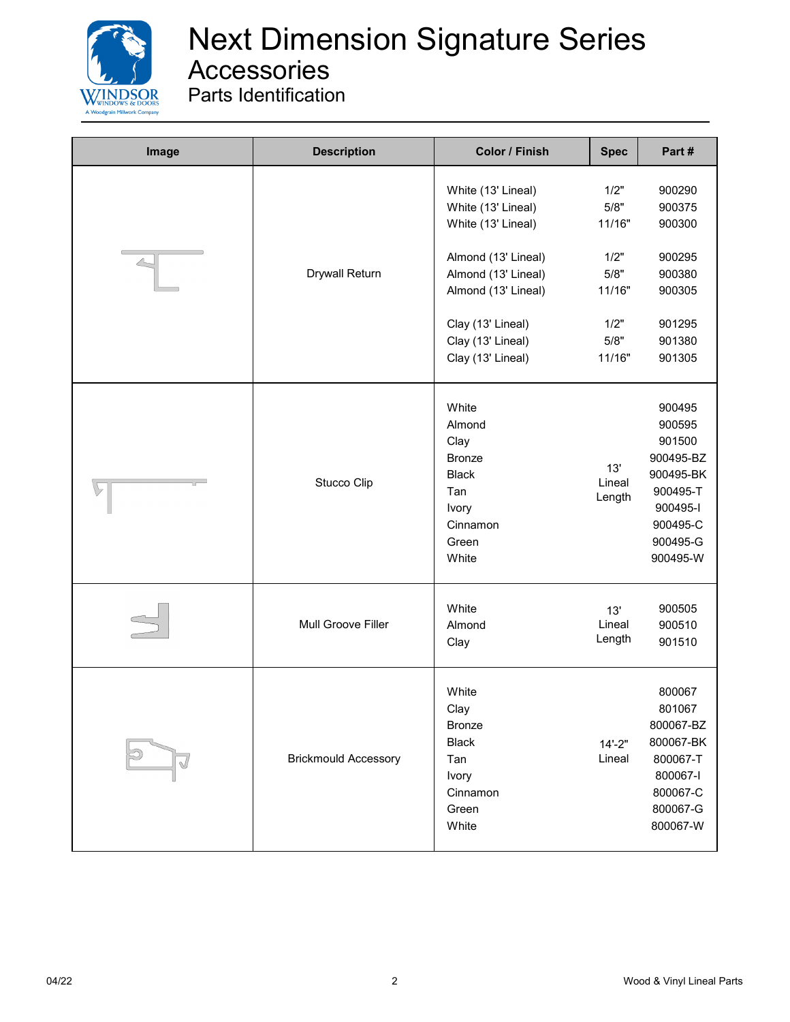

| Image | <b>Description</b>          | Color / Finish                                                                                                                                                                                     | <b>Spec</b>                                                                | Part#                                                                                                            |
|-------|-----------------------------|----------------------------------------------------------------------------------------------------------------------------------------------------------------------------------------------------|----------------------------------------------------------------------------|------------------------------------------------------------------------------------------------------------------|
|       | Drywall Return              | White (13' Lineal)<br>White (13' Lineal)<br>White (13' Lineal)<br>Almond (13' Lineal)<br>Almond (13' Lineal)<br>Almond (13' Lineal)<br>Clay (13' Lineal)<br>Clay (13' Lineal)<br>Clay (13' Lineal) | 1/2"<br>5/8"<br>11/16"<br>1/2"<br>5/8"<br>11/16"<br>1/2"<br>5/8"<br>11/16" | 900290<br>900375<br>900300<br>900295<br>900380<br>900305<br>901295<br>901380<br>901305                           |
|       | Stucco Clip                 | White<br>Almond<br>Clay<br><b>Bronze</b><br><b>Black</b><br>Tan<br>Ivory<br>Cinnamon<br>Green<br>White                                                                                             | 13'<br>Lineal<br>Length                                                    | 900495<br>900595<br>901500<br>900495-BZ<br>900495-BK<br>900495-T<br>900495-I<br>900495-C<br>900495-G<br>900495-W |
|       | Mull Groove Filler          | White<br>Almond<br>Clay                                                                                                                                                                            | 13'<br>Lineal<br>Length                                                    | 900505<br>900510<br>901510                                                                                       |
|       | <b>Brickmould Accessory</b> | White<br>Clay<br><b>Bronze</b><br><b>Black</b><br>Tan<br>Ivory<br>Cinnamon<br>Green<br>White                                                                                                       | $14 - 2"$<br>Lineal                                                        | 800067<br>801067<br>800067-BZ<br>800067-BK<br>800067-T<br>800067-l<br>800067-C<br>800067-G<br>800067-W           |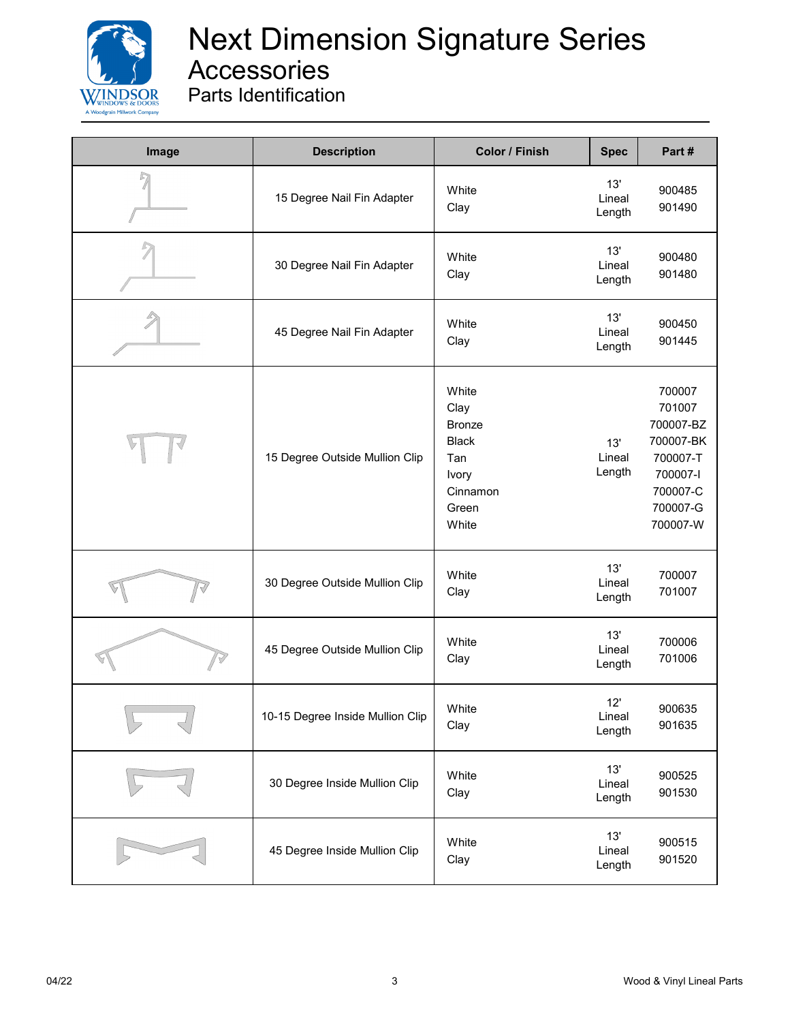

| Image | <b>Description</b>               | <b>Color / Finish</b>                                                                        | <b>Spec</b>             | Part#                                                                                                  |
|-------|----------------------------------|----------------------------------------------------------------------------------------------|-------------------------|--------------------------------------------------------------------------------------------------------|
|       | 15 Degree Nail Fin Adapter       | White<br>Clay                                                                                | 13'<br>Lineal<br>Length | 900485<br>901490                                                                                       |
|       | 30 Degree Nail Fin Adapter       | White<br>Clay                                                                                | 13'<br>Lineal<br>Length | 900480<br>901480                                                                                       |
|       | 45 Degree Nail Fin Adapter       | White<br>Clay                                                                                | 13'<br>Lineal<br>Length | 900450<br>901445                                                                                       |
|       | 15 Degree Outside Mullion Clip   | White<br>Clay<br><b>Bronze</b><br><b>Black</b><br>Tan<br>Ivory<br>Cinnamon<br>Green<br>White | 13'<br>Lineal<br>Length | 700007<br>701007<br>700007-BZ<br>700007-BK<br>700007-T<br>700007-l<br>700007-C<br>700007-G<br>700007-W |
|       | 30 Degree Outside Mullion Clip   | White<br>Clay                                                                                | 13'<br>Lineal<br>Length | 700007<br>701007                                                                                       |
|       | 45 Degree Outside Mullion Clip   | White<br>Clay                                                                                | 13'<br>Lineal<br>Length | 700006<br>701006                                                                                       |
|       | 10-15 Degree Inside Mullion Clip | White<br>Clay                                                                                | 12'<br>Lineal<br>Length | 900635<br>901635                                                                                       |
|       | 30 Degree Inside Mullion Clip    | White<br>Clay                                                                                | 13'<br>Lineal<br>Length | 900525<br>901530                                                                                       |
|       | 45 Degree Inside Mullion Clip    | White<br>Clay                                                                                | 13'<br>Lineal<br>Length | 900515<br>901520                                                                                       |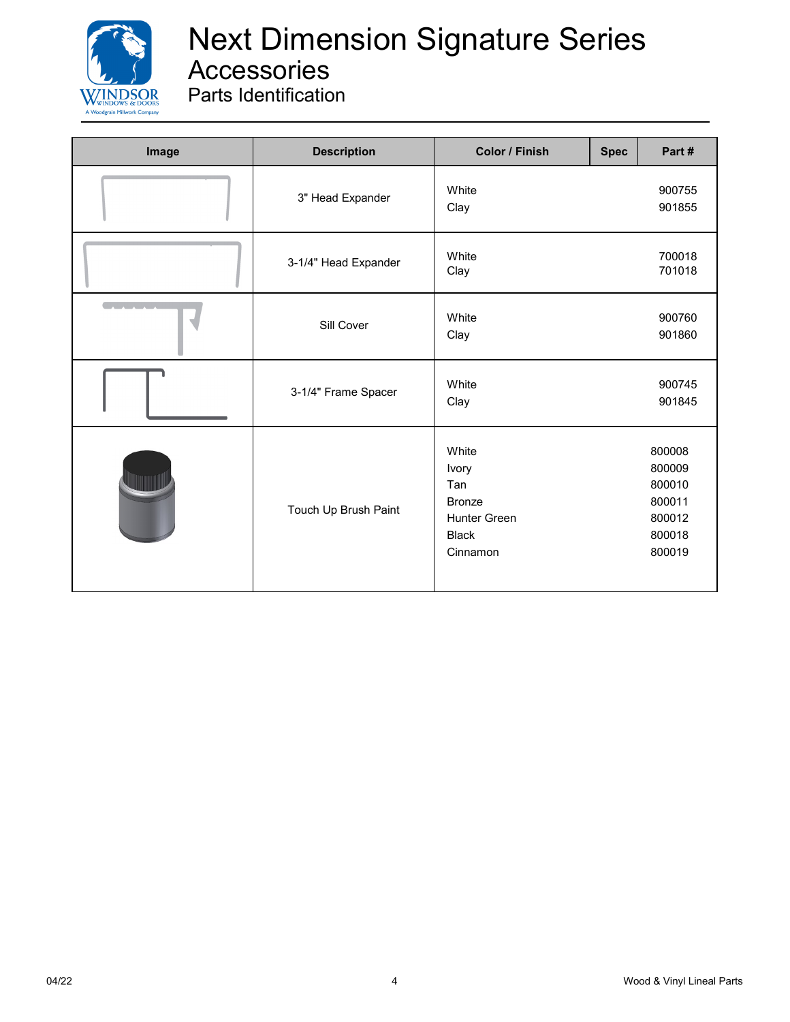

| Image                        | <b>Description</b>   | <b>Color / Finish</b>                                                                     | <b>Spec</b> | Part #                                                             |
|------------------------------|----------------------|-------------------------------------------------------------------------------------------|-------------|--------------------------------------------------------------------|
|                              | 3" Head Expander     | White<br>Clay                                                                             |             | 900755<br>901855                                                   |
|                              | 3-1/4" Head Expander | White<br>Clay                                                                             |             | 700018<br>701018                                                   |
| <u>and the second second</u> | Sill Cover           | White<br>Clay                                                                             |             | 900760<br>901860                                                   |
|                              | 3-1/4" Frame Spacer  | White<br>Clay                                                                             |             | 900745<br>901845                                                   |
|                              | Touch Up Brush Paint | White<br>Ivory<br>Tan<br><b>Bronze</b><br><b>Hunter Green</b><br><b>Black</b><br>Cinnamon |             | 800008<br>800009<br>800010<br>800011<br>800012<br>800018<br>800019 |